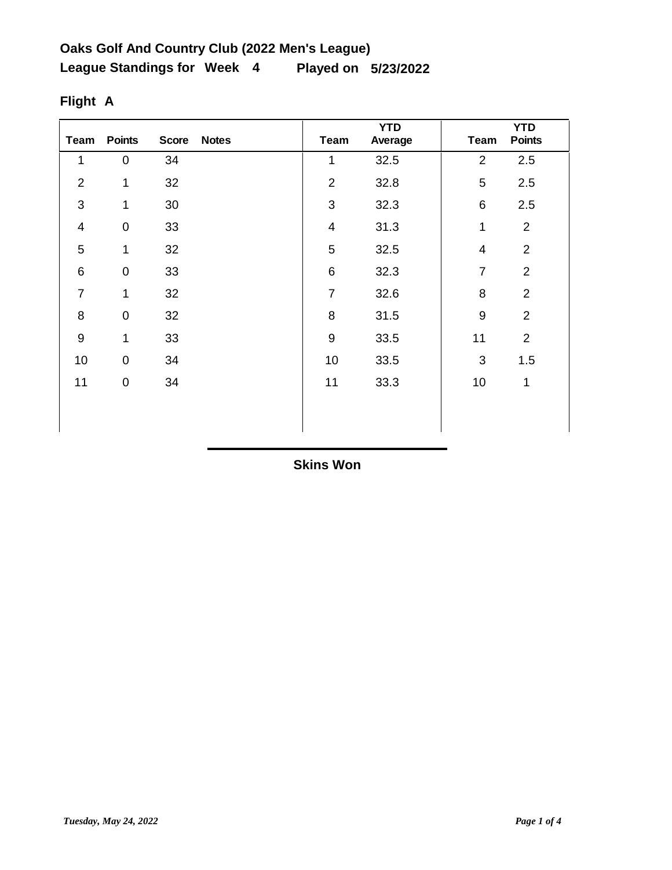| <b>Team</b>     | <b>Points</b>       | <b>Score</b> | <b>Notes</b> | <b>Team</b>             | <b>YTD</b><br>Average | <b>Team</b>              | <b>YTD</b><br><b>Points</b> |
|-----------------|---------------------|--------------|--------------|-------------------------|-----------------------|--------------------------|-----------------------------|
| 1               | $\pmb{0}$           | 34           |              | $\mathbf 1$             | 32.5                  | $\overline{2}$           | 2.5                         |
| $\overline{2}$  | $\mathbf{1}$        | 32           |              | $\overline{2}$          | 32.8                  | 5                        | 2.5                         |
| 3               | 1                   | 30           |              | 3                       | 32.3                  | 6                        | 2.5                         |
| $\overline{4}$  | $\pmb{0}$           | 33           |              | $\overline{\mathbf{4}}$ | 31.3                  | 1                        | $\overline{2}$              |
| 5               | $\mathbf 1$         | 32           |              | 5                       | 32.5                  | $\overline{\mathcal{A}}$ | $\overline{2}$              |
| $6\phantom{1}6$ | $\mathsf{O}\xspace$ | 33           |              | $\,6$                   | 32.3                  | $\overline{7}$           | $\overline{2}$              |
| $\overline{7}$  | 1                   | 32           |              | $\overline{7}$          | 32.6                  | 8                        | $\overline{2}$              |
| 8               | $\mathsf{O}\xspace$ | 32           |              | 8                       | 31.5                  | $9\,$                    | $\overline{2}$              |
| $\overline{9}$  | 1                   | 33           |              | $\boldsymbol{9}$        | 33.5                  | 11                       | $\overline{2}$              |
| 10              | $\boldsymbol{0}$    | 34           |              | 10                      | 33.5                  | 3                        | 1.5                         |
| 11              | $\pmb{0}$           | 34           |              | 11                      | 33.3                  | 10                       | $\mathbf 1$                 |
|                 |                     |              |              |                         |                       |                          |                             |
|                 |                     |              |              |                         |                       |                          |                             |

# **Flight A**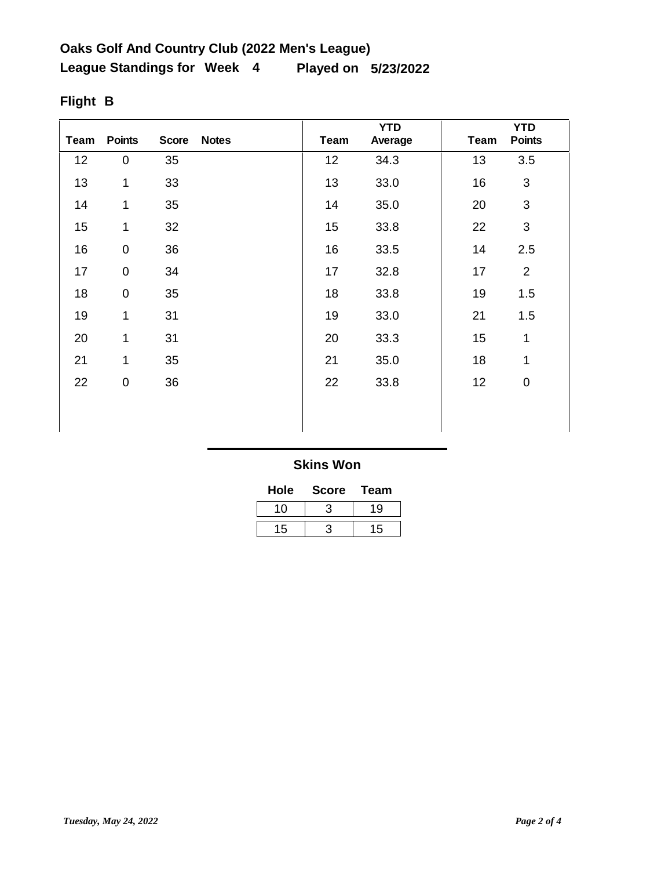| Team | <b>Points</b> | <b>Score</b> | <b>Notes</b> | <b>Team</b> | <b>YTD</b><br>Average | <b>Team</b> | <b>YTD</b><br><b>Points</b> |
|------|---------------|--------------|--------------|-------------|-----------------------|-------------|-----------------------------|
| 12   | $\pmb{0}$     | 35           |              | 12          | 34.3                  | 13          | 3.5                         |
| 13   | 1             | 33           |              | 13          | 33.0                  | 16          | $\mathfrak{B}$              |
| 14   | 1             | 35           |              | 14          | 35.0                  | 20          | $\mathfrak{S}$              |
| 15   | 1             | 32           |              | 15          | 33.8                  | 22          | $\mathfrak{B}$              |
| 16   | $\pmb{0}$     | 36           |              | 16          | 33.5                  | 14          | 2.5                         |
| 17   | $\pmb{0}$     | 34           |              | 17          | 32.8                  | 17          | $\overline{2}$              |
| 18   | $\pmb{0}$     | 35           |              | 18          | 33.8                  | 19          | 1.5                         |
| 19   | 1             | 31           |              | 19          | 33.0                  | 21          | 1.5                         |
| 20   | 1             | 31           |              | 20          | 33.3                  | 15          | 1                           |
| 21   | 1             | 35           |              | 21          | 35.0                  | 18          | 1                           |
| 22   | $\pmb{0}$     | 36           |              | 22          | 33.8                  | 12          | $\pmb{0}$                   |
|      |               |              |              |             |                       |             |                             |
|      |               |              |              |             |                       |             |                             |

# **Flight B**

| Hole | <b>Score</b> | Team |
|------|--------------|------|
| 10   |              | 19   |
| 15   |              | 15   |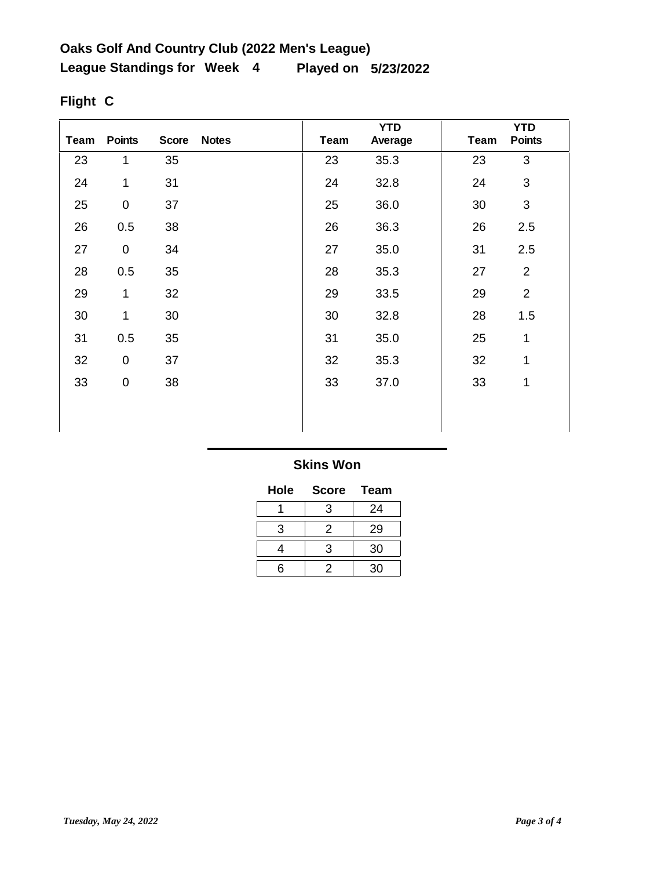| Team | <b>Points</b>       | <b>Score</b> | <b>Notes</b> | Team | <b>YTD</b><br>Average | Team | <b>YTD</b><br><b>Points</b> |
|------|---------------------|--------------|--------------|------|-----------------------|------|-----------------------------|
| 23   | 1                   | 35           |              | 23   | 35.3                  | 23   | 3                           |
| 24   | 1                   | 31           |              | 24   | 32.8                  | 24   | 3                           |
| 25   | $\mathsf 0$         | 37           |              | 25   | 36.0                  | 30   | 3                           |
| 26   | 0.5                 | 38           |              | 26   | 36.3                  | 26   | 2.5                         |
| 27   | $\pmb{0}$           | 34           |              | 27   | 35.0                  | 31   | 2.5                         |
| 28   | 0.5                 | 35           |              | 28   | 35.3                  | 27   | $\overline{2}$              |
| 29   | 1                   | 32           |              | 29   | 33.5                  | 29   | $\overline{2}$              |
| 30   | 1                   | 30           |              | 30   | 32.8                  | 28   | 1.5                         |
| 31   | 0.5                 | 35           |              | 31   | 35.0                  | 25   | $\overline{1}$              |
| 32   | $\mathsf{O}\xspace$ | 37           |              | 32   | 35.3                  | 32   | 1                           |
| 33   | 0                   | 38           |              | 33   | 37.0                  | 33   | 1                           |
|      |                     |              |              |      |                       |      |                             |
|      |                     |              |              |      |                       |      |                             |

# **Flight C**

| Hole | Score | <b>Team</b> |
|------|-------|-------------|
|      | 3     | 24          |
| 3    | 2     | 29          |
|      | 3     | 30          |
| ี่ค  | 2     | 30          |